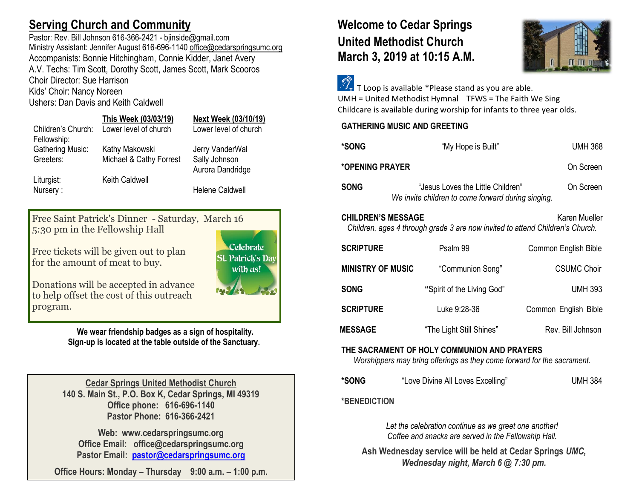# **Serving Church and Community**

Pastor: Rev. Bill Johnson 616-366-2421 - bjinside@gmail.com Ministry Assistant: Jennifer August 616-696-1140 [office@cedarspringsumc.org](mailto:office@cedarspringsumc.org) Accompanists: Bonnie Hitchingham, Connie Kidder, Janet Avery A.V. Techs: Tim Scott, Dorothy Scott, James Scott, Mark Scooros Choir Director: Sue Harrison

Kids' Choir: Nancy Noreen

Ushers: Dan Davis and Keith Caldwell

|                         | This Week (03/03/19)    | Next Week (03/10/19)   |
|-------------------------|-------------------------|------------------------|
| Children's Church:      | Lower level of church   | Lower level of church  |
| Fellowship:             |                         |                        |
| <b>Gathering Music:</b> | Kathy Makowski          | Jerry VanderWal        |
| Greeters:               | Michael & Cathy Forrest | Sally Johnson          |
|                         |                         | Aurora Dandridge       |
| Liturgist:              | <b>Keith Caldwell</b>   |                        |
| Nursery:                |                         | <b>Helene Caldwell</b> |
|                         |                         |                        |

Free Saint Patrick's Dinner - Saturday, March 16 5:30 pm in the Fellowship Hall

Free tickets will be given out to plan for the amount of meat to buy.

Donations will be accepted in advance to help offset the cost of this outreach program.

> **We wear friendship badges as a sign of hospitality. Sign-up is located at the table outside of the Sanctuary.**

**Celebrate St. Patrick's Dav** with as!

**Cedar Springs United Methodist Church 140 S. Main St., P.O. Box K, Cedar Springs, MI 49319 Office phone: 616-696-1140 Pastor Phone: 616-366-2421**

**Web: www.cedarspringsumc.org Office Email: office@cedarspringsumc.org Pastor Email: [pastor@cedarspringsumc.org](mailto:pastor@cedarspringsumc.org)**

**Office Hours: Monday – Thursday 9:00 a.m. – 1:00 p.m.**

# **Welcome to Cedar Springs United Methodist Church March 3, 2019 at 10:15 A.M.**



 $\widehat{\mathcal{D}_{\tau}}$  T Loop is available \*Please stand as you are able. UMH = United Methodist Hymnal TFWS = The Faith We Sing Childcare is available during worship for infants to three year olds.

## **GATHERING MUSIC AND GREETING**

| *SONG                                                                                                                       | "My Hope is Built"                                                                      | UMH 368              |  |  |
|-----------------------------------------------------------------------------------------------------------------------------|-----------------------------------------------------------------------------------------|----------------------|--|--|
| *OPENING PRAYER                                                                                                             | On Screen                                                                               |                      |  |  |
| <b>SONG</b>                                                                                                                 | "Jesus Loves the Little Children"<br>We invite children to come forward during singing. | On Screen            |  |  |
| <b>CHILDREN'S MESSAGE</b><br>Karen Mueller<br>Children, ages 4 through grade 3 are now invited to attend Children's Church. |                                                                                         |                      |  |  |
| <b>SCRIPTURE</b>                                                                                                            | Psalm 99                                                                                | Common English Bible |  |  |
| <b>MINISTRY OF MUSIC</b>                                                                                                    | "Communion Song"                                                                        | <b>CSUMC Choir</b>   |  |  |
| SONG                                                                                                                        | "Spirit of the Living God"                                                              | <b>UMH 393</b>       |  |  |
| <b>SCRIPTURE</b>                                                                                                            | Luke 9:28-36                                                                            | Common English Bible |  |  |
| <b>MESSAGE</b>                                                                                                              | "The Light Still Shines"                                                                | Rev. Bill Johnson    |  |  |

### **THE SACRAMENT OF HOLY COMMUNION AND PRAYERS**

*Worshippers may bring offerings as they come forward for the sacrament.*

| *SONG | "Love Divine All Loves Excelling" | <b>UMH 384</b> |
|-------|-----------------------------------|----------------|
|-------|-----------------------------------|----------------|

**\*BENEDICTION**

*Let the celebration continue as we greet one another! Coffee and snacks are served in the Fellowship Hall.*

**Ash Wednesday service will be held at Cedar Springs** *UMC, Wednesday night, March 6 @ 7:30 pm.*